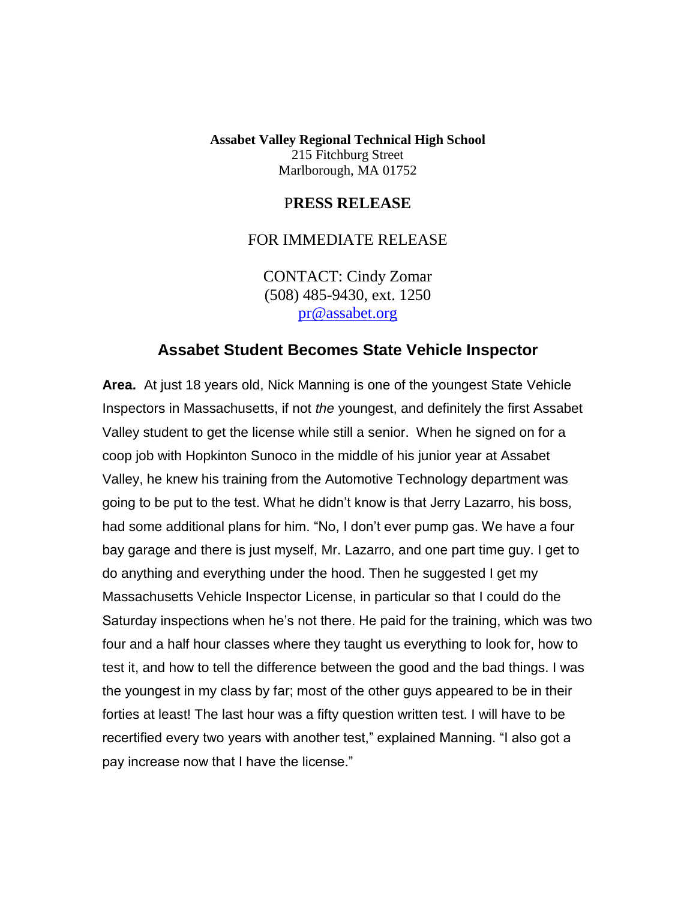**Assabet Valley Regional Technical High School** 215 Fitchburg Street Marlborough, MA 01752

## P**RESS RELEASE**

## FOR IMMEDIATE RELEASE

CONTACT: Cindy Zomar (508) 485-9430, ext. 1250 [pr@assabet.org](mailto:pr@assabet.org)

## **Assabet Student Becomes State Vehicle Inspector**

**Area.** At just 18 years old, Nick Manning is one of the youngest State Vehicle Inspectors in Massachusetts, if not *the* youngest, and definitely the first Assabet Valley student to get the license while still a senior. When he signed on for a coop job with Hopkinton Sunoco in the middle of his junior year at Assabet Valley, he knew his training from the Automotive Technology department was going to be put to the test. What he didn't know is that Jerry Lazarro, his boss, had some additional plans for him. "No, I don't ever pump gas. We have a four bay garage and there is just myself, Mr. Lazarro, and one part time guy. I get to do anything and everything under the hood. Then he suggested I get my Massachusetts Vehicle Inspector License, in particular so that I could do the Saturday inspections when he's not there. He paid for the training, which was two four and a half hour classes where they taught us everything to look for, how to test it, and how to tell the difference between the good and the bad things. I was the youngest in my class by far; most of the other guys appeared to be in their forties at least! The last hour was a fifty question written test. I will have to be recertified every two years with another test," explained Manning. "I also got a pay increase now that I have the license."